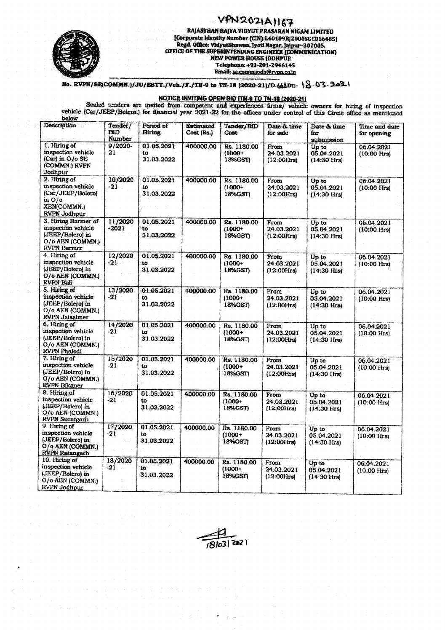## VPN2021A1167



## RAJASTHAN RAJYA VIDYUT PRASARAN NIGAM LIMITED [Corporate Identity Number (CIN):L40109RJ2000SGC016485] Regal Office: VidyutBhawan, Jyoti Nagar, Jaipur-302005.<br>
OFFICE OF THE SUPERINTENDING ENGINEER (COMMUNICATION)<br>
NEW POWER HOUSE JODHPUR<br>
Telephone: +91-291-2946145 Email: se comm.jodh@rvpn.co.in

No. RVPN/SE(COMMN.)/JU/ESTT./Veh./F./TN-9 to TN-18 (2020-21)/D.(68Dt:- \S.03.2021

## NOTICE INVITING OPEN BID ITN-9 TO TN-18 (2020-21)

Scaled tenders are invited from competent and experienced firms/ vehicle owners for hiring of inspection<br>vehicle (Car/JEEP/Bolero.) for financial year 2021-22 for the offices under control of this Circle office as mentione below

| <b>Description</b>                                                                                             | Tender/<br><b>BID</b><br><b>Number</b> | Period of<br>Hiring                      | <b>Estimated</b><br>Cost (Rs.) | Tender/BID<br>Cost                  | Date & time<br>for sale                       | Date & time<br>for<br>submission             | Time and date<br>for opening        |
|----------------------------------------------------------------------------------------------------------------|----------------------------------------|------------------------------------------|--------------------------------|-------------------------------------|-----------------------------------------------|----------------------------------------------|-------------------------------------|
| 1. Hiring of<br>inspection vehicle<br>(Car) in O/o SE<br>(COMMN.) RVPN<br>Jodhpur                              | 9/2020-<br>21                          | 01.05.2021<br>to<br>31.03.2022           | 400000.00                      | Rs. 1180.00<br>$(1000 +$<br>18%GST) | From<br>24.03.2021<br>$(12:00$ irs            | Up to<br>05.04.2021<br>$(14:30$ Hrs $)$      | 06.04.2021<br>$(10:00$ Hrs $)$      |
| 2. Hiring of<br>inspection vehicle<br>(Car/JEEP/Bolero)<br>in O/o<br><b>XEN(COMMN.)</b><br><b>RVPN Jodhpur</b> | 10/2020<br>$-21$                       | 01.05.2021<br>tő<br>31.03.2022           | 400000.00                      | Rs. 1180.00<br>$(1000 +$<br>18%GST) | From<br>24.03.2021<br>(12:00Hrs)              | Up to<br>05.04.2021<br>$(14:30 \text{ Hrs})$ | 06.04.2021<br>$(10:00$ Hrs $)$      |
| 3. Hiring Barmer of<br>inspection vehicle<br>(JEEP/Bolero) in<br>O/o AEN (COMMN.)<br>RVPN Barmer               | 11/2020<br>$-2021$                     | 01.05.2021<br>to<br>31.03.2022           | 400000.00                      | Rs. 1180.00<br>$(1000+$<br>18%GST)  | From<br>24.03.2021<br>$(12:00$ <i>Hrs</i> $)$ | Up to<br>05.04.2021<br>$(14:30$ Hrs)         | 06.04.2021<br>$(10:00$ Hrs $)$      |
| 4. Hiring of<br>inspection vehicle.<br>(JEEP/Bolero) in<br>0/0 AEN (COMMN.)<br>RVPN Bali                       | 12/2020<br>-21                         | 01.05.2021<br>to<br>31.03.2022           | 400000.00                      | Rs. 1180.00<br>$(1000 +$<br>18%GST  | From<br>24.03.2021<br>$(12:00$ Hrs)           | Up to<br>05.04.2021<br>$(14:30 \text{ Hrs})$ | 06.04.2021<br>$(10:00$ Hrs)         |
| 5. Hiring of<br>inspection vehicle<br>(JEEP/Bolero) in<br>O/o AEN (COMMN.)<br><b>RVPN Jaisalmer</b>            | 13/2020<br>$-21$                       | 01.05.2021<br>to<br>31.03.2022           | 400000.00                      | Rs. 1180.00<br>$(1000 +$<br>18%GST) | From<br>24.03.2021<br>$(12:00$ Hrs $)$        | Up to<br>05.04.2021<br>$(14:30$ Hrs $)$      | 06.04.2021<br>$(10:00 \text{ Hrs})$ |
| 6. Hiring of<br>inspection vehicle.<br>(JEEP/Bolero) in<br>O/o AEN (COMMN.)<br><b>RVPN Phalodi</b>             | 14/2020<br>$-21$                       | 01.05.2021<br>to<br>31.03.2022           | 400000.00                      | Rs. 1180.00<br>$(1000 +$<br>18%GST) | From<br>24.03.2021<br>$(12:00$ Hrs            | Up to<br>05.04.2021<br>$(14:30$ Hrs $)$      | 06.04.2021<br>$(10:00 \text{ Hrs})$ |
| 7. Hiring of<br>inspection vehicle<br>(JEEP/Bolero) in<br>O/o AEN (COMMN.)<br><b>RVPN Bikaner</b>              | 15/2020<br>$-21$                       | 01.05.2021<br>to<br>31.03.2022           | 400000.00                      | Rs. 1180.00<br>$(1000 +$<br>18%GST) | From<br>24.03.2021<br>(12:00Hrs)              | Up to<br>05.04.2021<br>$(14:30 \text{ Hrs})$ | 06.04.2021<br>$(10:00$ Hrs $)$      |
| 8. Hiring of<br>inspection vehicle<br>(JEEP/Bolero) in<br>O/o AEN (COMMN.)<br><b>RVPN Suratgarh</b>            | 16/2020<br>$-21$                       | 01.05.2021<br>ŧο<br>31.03.2022           | 400000.00                      | Rs. 1180.00<br>$(1000+$<br>18%GST)  | From<br>24.03.2021<br>$(12:00$ $krs)$         | Up to<br>05.04.2021<br>$(14.30$ Hrs)         | 06.04.2021<br>$(10:00$ $Hrs$        |
| 9. Hiring of<br>inspection vehicle<br>(JEEP/Bolero) in<br>O/o AEN (COMMN.)<br><b>RVPN Ratangarh</b>            | 17/2020<br>-21                         | 01.05.2021<br>to<br>31.03.2022           | 400000.00                      | Rs. 1180.00<br>$(1000 +$<br>18%GST1 | From<br>24.03.2021<br>$(12:00$ Hrs            | Up to<br>05.04.2021<br>$(14:30$ Hrs $)$      | 06.04.2021<br>$(10:00$ Hrs)         |
| 10. Hiring of<br>inspection vehicle<br>(JEEP/Bolero) in<br>O/o AEN (COMMN.)<br><b>RVPN Jodhpur</b>             | 18/2020<br>$-21$                       | 01.05.2021<br>$10^{\circ}$<br>31.03.2022 | 400000.00                      | Rs. 1180.00<br>$(1000+)$<br>18%GSD  | From<br>24.03.2021<br>$(12:001$ rs)           | Up to<br>05.04.2021<br>$(14:30$ Hrs $)$      | 06.04.2021<br>$(10:00$ Hrs)         |